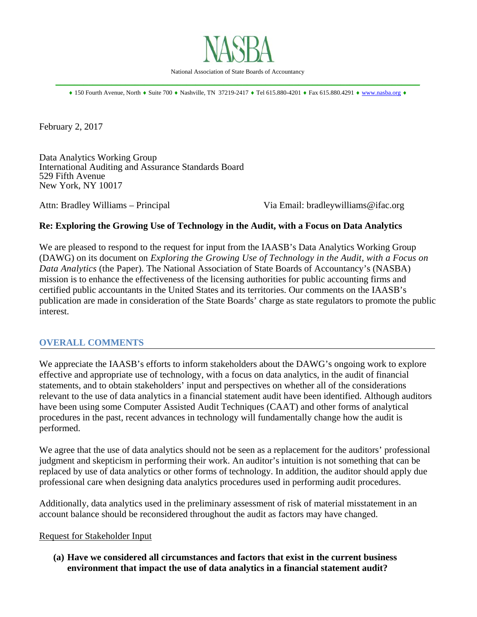

 $\bullet$  150 Fourth Avenue, North  $\bullet$  Suite 700  $\bullet$  Nashville, TN 37219-2417  $\bullet$  Tel 615.880-4201  $\bullet$  Fax 615.880.4291  $\bullet$  www.nasba.org  $\bullet$ 

February 2, 2017

Data Analytics Working Group International Auditing and Assurance Standards Board 529 Fifth Avenue New York, NY 10017

Attn: Bradley Williams – Principal Via Email: bradleywilliams@ifac.org

### **Re: Exploring the Growing Use of Technology in the Audit, with a Focus on Data Analytics**

We are pleased to respond to the request for input from the IAASB's Data Analytics Working Group (DAWG) on its document on *Exploring the Growing Use of Technology in the Audit, with a Focus on Data Analytics* (the Paper)*.* The National Association of State Boards of Accountancy's (NASBA) mission is to enhance the effectiveness of the licensing authorities for public accounting firms and certified public accountants in the United States and its territories. Our comments on the IAASB's publication are made in consideration of the State Boards' charge as state regulators to promote the public interest.

#### **OVERALL COMMENTS**

We appreciate the IAASB's efforts to inform stakeholders about the DAWG's ongoing work to explore effective and appropriate use of technology, with a focus on data analytics, in the audit of financial statements, and to obtain stakeholders' input and perspectives on whether all of the considerations relevant to the use of data analytics in a financial statement audit have been identified. Although auditors have been using some Computer Assisted Audit Techniques (CAAT) and other forms of analytical procedures in the past, recent advances in technology will fundamentally change how the audit is performed.

We agree that the use of data analytics should not be seen as a replacement for the auditors' professional judgment and skepticism in performing their work. An auditor's intuition is not something that can be replaced by use of data analytics or other forms of technology. In addition, the auditor should apply due professional care when designing data analytics procedures used in performing audit procedures.

Additionally, data analytics used in the preliminary assessment of risk of material misstatement in an account balance should be reconsidered throughout the audit as factors may have changed.

#### Request for Stakeholder Input

**(a) Have we considered all circumstances and factors that exist in the current business environment that impact the use of data analytics in a financial statement audit?**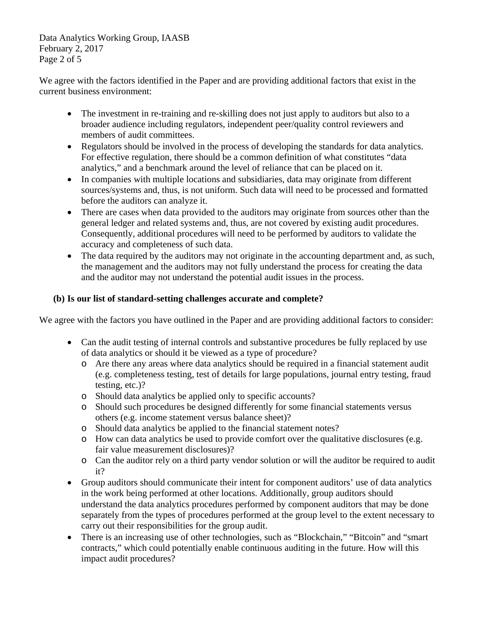Data Analytics Working Group, IAASB February 2, 2017 Page 2 of 5

We agree with the factors identified in the Paper and are providing additional factors that exist in the current business environment:

- The investment in re-training and re-skilling does not just apply to auditors but also to a broader audience including regulators, independent peer/quality control reviewers and members of audit committees.
- Regulators should be involved in the process of developing the standards for data analytics. For effective regulation, there should be a common definition of what constitutes "data analytics," and a benchmark around the level of reliance that can be placed on it.
- In companies with multiple locations and subsidiaries, data may originate from different sources/systems and, thus, is not uniform. Such data will need to be processed and formatted before the auditors can analyze it.
- There are cases when data provided to the auditors may originate from sources other than the general ledger and related systems and, thus, are not covered by existing audit procedures. Consequently, additional procedures will need to be performed by auditors to validate the accuracy and completeness of such data.
- The data required by the auditors may not originate in the accounting department and, as such, the management and the auditors may not fully understand the process for creating the data and the auditor may not understand the potential audit issues in the process.

# **(b) Is our list of standard-setting challenges accurate and complete?**

We agree with the factors you have outlined in the Paper and are providing additional factors to consider:

- Can the audit testing of internal controls and substantive procedures be fully replaced by use of data analytics or should it be viewed as a type of procedure?
	- o Are there any areas where data analytics should be required in a financial statement audit (e.g. completeness testing, test of details for large populations, journal entry testing, fraud testing, etc.)?
	- o Should data analytics be applied only to specific accounts?
	- o Should such procedures be designed differently for some financial statements versus others (e.g. income statement versus balance sheet)?
	- o Should data analytics be applied to the financial statement notes?
	- o How can data analytics be used to provide comfort over the qualitative disclosures (e.g. fair value measurement disclosures)?
	- o Can the auditor rely on a third party vendor solution or will the auditor be required to audit it?
- Group auditors should communicate their intent for component auditors' use of data analytics in the work being performed at other locations. Additionally, group auditors should understand the data analytics procedures performed by component auditors that may be done separately from the types of procedures performed at the group level to the extent necessary to carry out their responsibilities for the group audit.
- There is an increasing use of other technologies, such as "Blockchain," "Bitcoin" and "smart" contracts," which could potentially enable continuous auditing in the future. How will this impact audit procedures?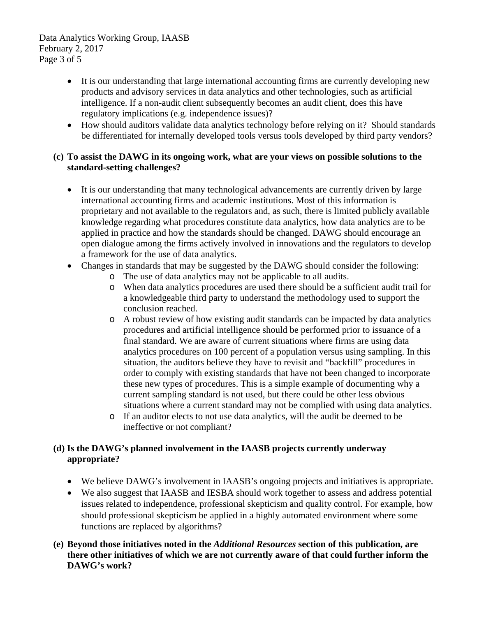Data Analytics Working Group, IAASB February 2, 2017 Page 3 of 5

- It is our understanding that large international accounting firms are currently developing new products and advisory services in data analytics and other technologies, such as artificial intelligence. If a non-audit client subsequently becomes an audit client, does this have regulatory implications (e.g. independence issues)?
- How should auditors validate data analytics technology before relying on it? Should standards be differentiated for internally developed tools versus tools developed by third party vendors?

### **(c) To assist the DAWG in its ongoing work, what are your views on possible solutions to the standard-setting challenges?**

- It is our understanding that many technological advancements are currently driven by large international accounting firms and academic institutions. Most of this information is proprietary and not available to the regulators and, as such, there is limited publicly available knowledge regarding what procedures constitute data analytics, how data analytics are to be applied in practice and how the standards should be changed. DAWG should encourage an open dialogue among the firms actively involved in innovations and the regulators to develop a framework for the use of data analytics.
- Changes in standards that may be suggested by the DAWG should consider the following:
	- o The use of data analytics may not be applicable to all audits.
	- o When data analytics procedures are used there should be a sufficient audit trail for a knowledgeable third party to understand the methodology used to support the conclusion reached.
	- o A robust review of how existing audit standards can be impacted by data analytics procedures and artificial intelligence should be performed prior to issuance of a final standard. We are aware of current situations where firms are using data analytics procedures on 100 percent of a population versus using sampling. In this situation, the auditors believe they have to revisit and "backfill" procedures in order to comply with existing standards that have not been changed to incorporate these new types of procedures. This is a simple example of documenting why a current sampling standard is not used, but there could be other less obvious situations where a current standard may not be complied with using data analytics.
	- o If an auditor elects to not use data analytics, will the audit be deemed to be ineffective or not compliant?

# **(d) Is the DAWG's planned involvement in the IAASB projects currently underway appropriate?**

- We believe DAWG's involvement in IAASB's ongoing projects and initiatives is appropriate.
- We also suggest that IAASB and IESBA should work together to assess and address potential issues related to independence, professional skepticism and quality control. For example, how should professional skepticism be applied in a highly automated environment where some functions are replaced by algorithms?
- **(e) Beyond those initiatives noted in the** *Additional Resources* **section of this publication, are there other initiatives of which we are not currently aware of that could further inform the DAWG's work?**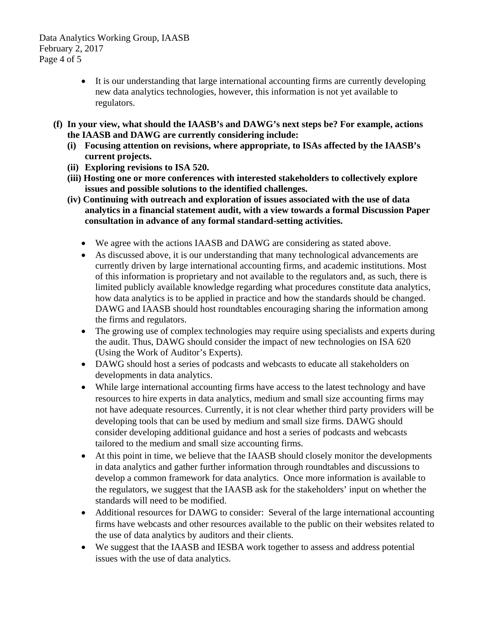Data Analytics Working Group, IAASB February 2, 2017 Page 4 of 5

- It is our understanding that large international accounting firms are currently developing new data analytics technologies, however, this information is not yet available to regulators.
- **(f) In your view, what should the IAASB's and DAWG's next steps be? For example, actions the IAASB and DAWG are currently considering include:** 
	- **(i) Focusing attention on revisions, where appropriate, to ISAs affected by the IAASB's current projects.**
	- **(ii) Exploring revisions to ISA 520.**
	- **(iii) Hosting one or more conferences with interested stakeholders to collectively explore issues and possible solutions to the identified challenges.**
	- **(iv) Continuing with outreach and exploration of issues associated with the use of data analytics in a financial statement audit, with a view towards a formal Discussion Paper consultation in advance of any formal standard-setting activities.** 
		- We agree with the actions IAASB and DAWG are considering as stated above.
		- As discussed above, it is our understanding that many technological advancements are currently driven by large international accounting firms, and academic institutions. Most of this information is proprietary and not available to the regulators and, as such, there is limited publicly available knowledge regarding what procedures constitute data analytics, how data analytics is to be applied in practice and how the standards should be changed. DAWG and IAASB should host roundtables encouraging sharing the information among the firms and regulators.
		- The growing use of complex technologies may require using specialists and experts during the audit. Thus, DAWG should consider the impact of new technologies on ISA 620 (Using the Work of Auditor's Experts).
		- DAWG should host a series of podcasts and webcasts to educate all stakeholders on developments in data analytics.
		- While large international accounting firms have access to the latest technology and have resources to hire experts in data analytics, medium and small size accounting firms may not have adequate resources. Currently, it is not clear whether third party providers will be developing tools that can be used by medium and small size firms. DAWG should consider developing additional guidance and host a series of podcasts and webcasts tailored to the medium and small size accounting firms.
		- At this point in time, we believe that the IAASB should closely monitor the developments in data analytics and gather further information through roundtables and discussions to develop a common framework for data analytics. Once more information is available to the regulators, we suggest that the IAASB ask for the stakeholders' input on whether the standards will need to be modified.
		- Additional resources for DAWG to consider: Several of the large international accounting firms have webcasts and other resources available to the public on their websites related to the use of data analytics by auditors and their clients.
		- We suggest that the IAASB and IESBA work together to assess and address potential issues with the use of data analytics.